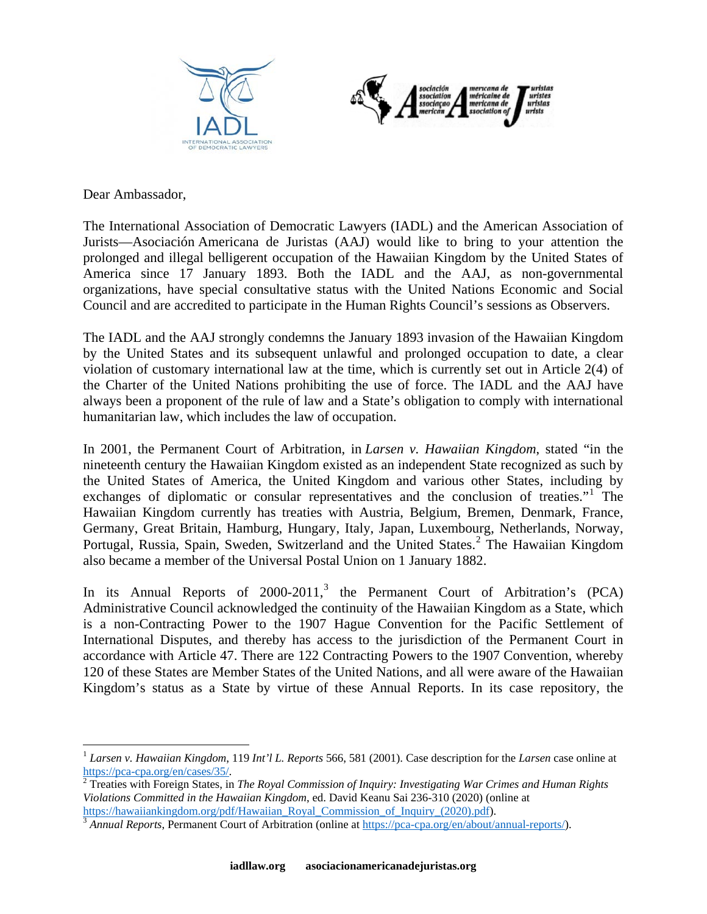

Dear Ambassador,

The International Association of Democratic Lawyers (IADL) and the American Association of Jurists—Asociación Americana de Juristas (AAJ) would like to bring to your attention the prolonged and illegal belligerent occupation of the Hawaiian Kingdom by the United States of America since 17 January 1893. Both the IADL and the AAJ, as non-governmental organizations, have special consultative status with the United Nations Economic and Social Council and are accredited to participate in the Human Rights Council's sessions as Observers.

The IADL and the AAJ strongly condemns the January 1893 invasion of the Hawaiian Kingdom by the United States and its subsequent unlawful and prolonged occupation to date, a clear violation of customary international law at the time, which is currently set out in Article 2(4) of the Charter of the United Nations prohibiting the use of force. The IADL and the AAJ have always been a proponent of the rule of law and a State's obligation to comply with international humanitarian law, which includes the law of occupation.

In 2001, the Permanent Court of Arbitration, in *Larsen v. Hawaiian Kingdom*, stated "in the nineteenth century the Hawaiian Kingdom existed as an independent State recognized as such by the United States of America, the United Kingdom and various other States, including by exchanges of diplomatic or consular representatives and the conclusion of treaties."<sup>1</sup> The Hawaiian Kingdom currently has treaties with Austria, Belgium, Bremen, Denmark, France, Germany, Great Britain, Hamburg, Hungary, Italy, Japan, Luxembourg, Netherlands, Norway, Portugal, Russia, Spain, Sweden, Switzerland and the United States.<sup>2</sup> The Hawaiian Kingdom also became a member of the Universal Postal Union on 1 January 1882.

In its Annual Reports of 2000-2011,<sup>3</sup> the Permanent Court of Arbitration's (PCA) Administrative Council acknowledged the continuity of the Hawaiian Kingdom as a State, which is a non-Contracting Power to the 1907 Hague Convention for the Pacific Settlement of International Disputes, and thereby has access to the jurisdiction of the Permanent Court in accordance with Article 47. There are 122 Contracting Powers to the 1907 Convention, whereby 120 of these States are Member States of the United Nations, and all were aware of the Hawaiian Kingdom's status as a State by virtue of these Annual Reports. In its case repository, the

 <sup>1</sup> *Larsen v. Hawaiian Kingdom*, 119 *Int'l L. Reports* 566, 581 (2001). Case description for the *Larsen* case online at

[https://pca-cpa.org/en/cases/35/.](https://pca-cpa.org/en/cases/35/) <sup>2</sup> Treaties with Foreign States, in *The Royal Commission of Inquiry: Investigating War Crimes and Human Rights Violations Committed in the Hawaiian Kingdom*, ed. David Keanu Sai 236-310 (2020) (online at

<sup>&</sup>lt;sup>3</sup> *Annual Reports*, Permanent Court of Arbitration (online at [https://pca-cpa.org/en/about/annual-reports/\)](https://pca-cpa.org/en/about/annual-reports/).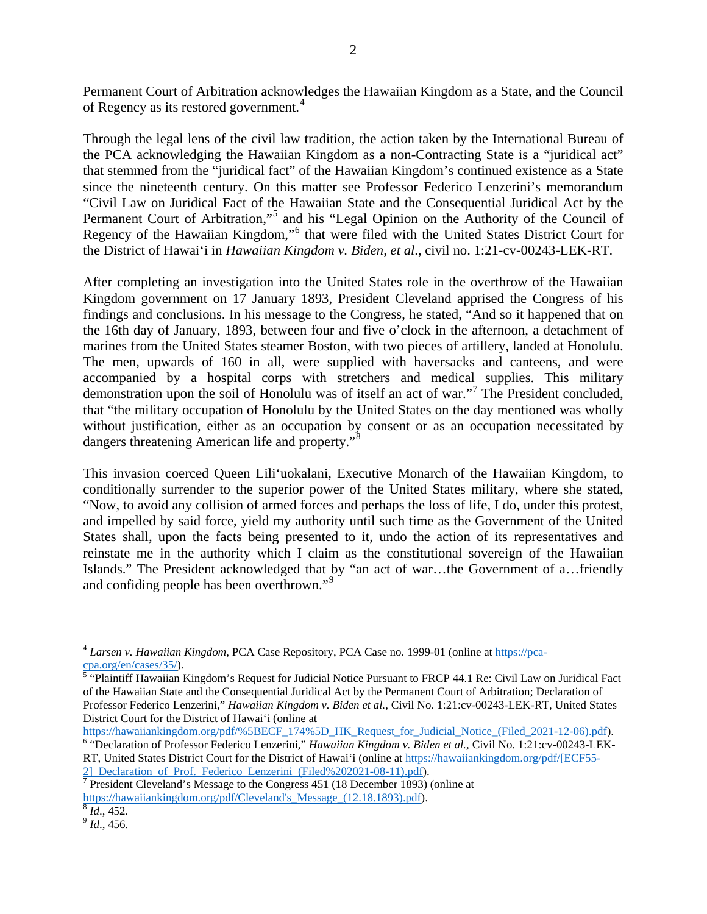Permanent Court of Arbitration acknowledges the Hawaiian Kingdom as a State, and the Council of Regency as its restored government.<sup>[4](#page-1-0)</sup>

Through the legal lens of the civil law tradition, the action taken by the International Bureau of the PCA acknowledging the Hawaiian Kingdom as a non-Contracting State is a "juridical act" that stemmed from the "juridical fact" of the Hawaiian Kingdom's continued existence as a State since the nineteenth century. On this matter see Professor Federico Lenzerini's memorandum "Civil Law on Juridical Fact of the Hawaiian State and the Consequential Juridical Act by the Permanent Court of Arbitration,"<sup>[5](#page-1-1)</sup> and his "Legal Opinion on the Authority of the Council of Regency of the Hawaiian Kingdom,"[6](#page-1-2) that were filed with the United States District Court for the District of Hawai'i in *Hawaiian Kingdom v. Biden, et al*., civil no. 1:21-cv-00243-LEK-RT.

After completing an investigation into the United States role in the overthrow of the Hawaiian Kingdom government on 17 January 1893, President Cleveland apprised the Congress of his findings and conclusions. In his message to the Congress, he stated, "And so it happened that on the 16th day of January, 1893, between four and five o'clock in the afternoon, a detachment of marines from the United States steamer Boston, with two pieces of artillery, landed at Honolulu. The men, upwards of 160 in all, were supplied with haversacks and canteens, and were accompanied by a hospital corps with stretchers and medical supplies. This military demonstration upon the soil of Honolulu was of itself an act of war."[7](#page-1-3) The President concluded, that "the military occupation of Honolulu by the United States on the day mentioned was wholly without justification, either as an occupation by consent or as an occupation necessitated by dangers threatening American life and property."[8](#page-1-4)

This invasion coerced Queen Lili'uokalani, Executive Monarch of the Hawaiian Kingdom, to conditionally surrender to the superior power of the United States military, where she stated, "Now, to avoid any collision of armed forces and perhaps the loss of life, I do, under this protest, and impelled by said force, yield my authority until such time as the Government of the United States shall, upon the facts being presented to it, undo the action of its representatives and reinstate me in the authority which I claim as the constitutional sovereign of the Hawaiian Islands." The President acknowledged that by "an act of war…the Government of a…friendly and confiding people has been overthrown."<sup>[9](#page-1-5)</sup>

<span id="page-1-0"></span><sup>&</sup>lt;sup>4</sup> Larsen v. Hawaiian Kingdom, PCA Case Repository, PCA Case no. 1999-01 (online at [https://pca-](https://pca-cpa.org/en/cases/35/)

<span id="page-1-1"></span>[cpa.org/en/cases/35/\)](https://pca-cpa.org/en/cases/35/). [5](https://pca-cpa.org/en/cases/35/) "Plaintiff Hawaiian Kingdom's Request for Judicial Notice Pursuant to FRCP 44.1 Re: Civil Law on Juridical Fact of the Hawaiian State and the Consequential Juridical Act by the Permanent Court of Arbitration; Declaration of Professor Federico Lenzerini," *Hawaiian Kingdom v. Biden et al.,* Civil No. 1:21:cv-00243-LEK-RT, United States District Court for the District of Hawai'i (online at https://hawaiiankingdom.org/pdf/%5BECF\_174%5D\_HK\_Request\_for\_Judicial\_Notice\_(Filed\_2021-12-06).pdf).

<span id="page-1-2"></span><sup>&</sup>lt;sup>[6](https://hawaiiankingdom.org/pdf/%5BECF_174%5D_HK_Request_for_Judicial_Notice_(Filed_2021-12-06).pdf)</sup> "Declaration of Professor Federico Lenzerini," *Hawaiian Kingdom v. Biden et al.*, Civil No. 1:21:cv-00243-LEK-RT, United States District Court for the District of Hawai'i (online at [https://hawaiiankingdom.org/pdf/\[ECF55-](https://hawaiiankingdom.org/pdf/%5bECF55-2%5d_Declaration_of_Prof._Federico_Lenzerini_(Filed%202021-08-11).pdf)

[<sup>2\]</sup>\\_Declaration\\_of\\_Prof.\\_Federico\\_Lenzerini\\_\(Filed%202021-08-11\).pdf\)](https://hawaiiankingdom.org/pdf/%5bECF55-2%5d_Declaration_of_Prof._Federico_Lenzerini_(Filed%202021-08-11).pdf).  $\frac{7}{7}$  $\frac{7}{7}$  $\frac{7}{7}$ President Cleveland's Message to the Congress 451 (18 December 1893) (online at

<span id="page-1-3"></span>[https://hawaiiankingdom.org/pdf/Cleveland's\\_Message\\_\(12.18.1893\).pdf\)](https://hawaiiankingdom.org/pdf/Cleveland). <sup>8</sup> *Id*., 452. <sup>9</sup> *Id*., 456.

<span id="page-1-5"></span><span id="page-1-4"></span>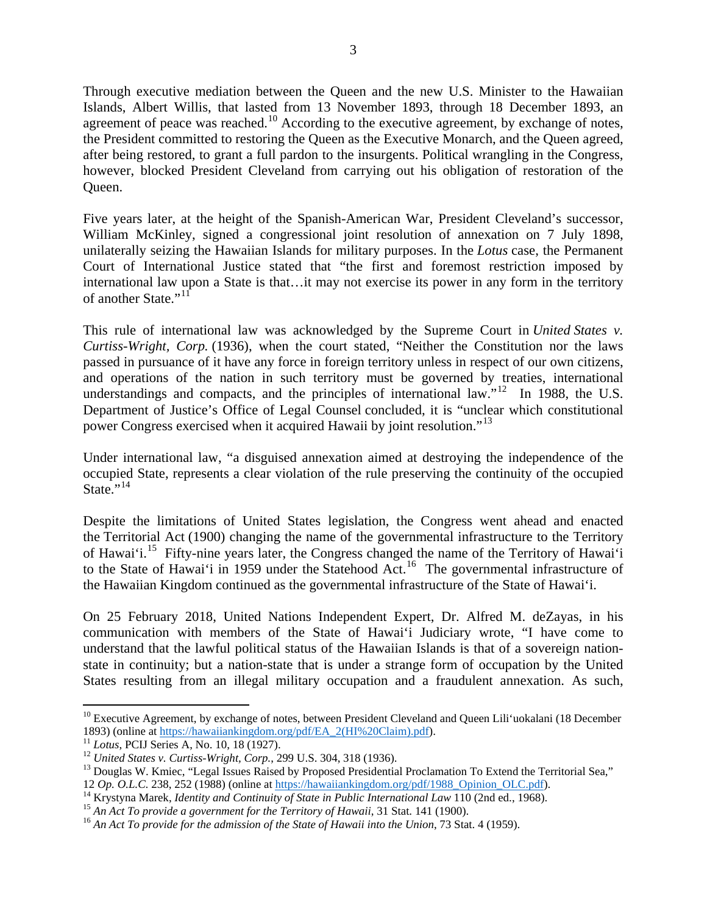Through executive mediation between the Queen and the new U.S. Minister to the Hawaiian Islands, Albert Willis, that lasted from 13 November 1893, through 18 December 1893, an agreement of peace was reached.<sup>[10](#page-2-0)</sup> According to the executive agreement, by exchange of notes, the President committed to restoring the Queen as the Executive Monarch, and the Queen agreed, after being restored, to grant a full pardon to the insurgents. Political wrangling in the Congress, however, blocked President Cleveland from carrying out his obligation of restoration of the Queen.

Five years later, at the height of the Spanish-American War, President Cleveland's successor, William McKinley, signed a congressional joint resolution of annexation on 7 July 1898, unilaterally seizing the Hawaiian Islands for military purposes. In the *Lotus* case, the Permanent Court of International Justice stated that "the first and foremost restriction imposed by international law upon a State is that…it may not exercise its power in any form in the territory of another State."<sup>[11](#page-2-1)</sup>

This rule of international law was acknowledged by the Supreme Court in *United States v. Curtiss-Wright, Corp.* (1936), when the court stated, "Neither the Constitution nor the laws passed in pursuance of it have any force in foreign territory unless in respect of our own citizens, and operations of the nation in such territory must be governed by treaties, international understandings and compacts, and the principles of international law."<sup>[12](#page-2-2)</sup> In 1988, the U.S. Department of Justice's Office of Legal Counsel concluded, it is "unclear which constitutional power Congress exercised when it acquired Hawaii by joint resolution."[13](#page-2-3)

Under international law, "a disguised annexation aimed at destroying the independence of the occupied State, represents a clear violation of the rule preserving the continuity of the occupied State. $\cdots$ <sup>[14](#page-2-4)</sup>

Despite the limitations of United States legislation, the Congress went ahead and enacted the Territorial Act (1900) changing the name of the governmental infrastructure to the Territory of Hawai'i.<sup>15</sup> Fifty-nine years later, the Congress changed the name of the Territory of Hawai'i to the State of Hawai'i in 1959 under the Statehood Act.<sup>[16](#page-2-6)</sup> The governmental infrastructure of the Hawaiian Kingdom continued as the governmental infrastructure of the State of Hawai'i.

On 25 February 2018, United Nations Independent Expert, Dr. Alfred M. deZayas, in his communication with members of the State of Hawai'i Judiciary wrote, "I have come to understand that the lawful political status of the Hawaiian Islands is that of a sovereign nationstate in continuity; but a nation-state that is under a strange form of occupation by the United States resulting from an illegal military occupation and a fraudulent annexation. As such,

<span id="page-2-0"></span><sup>&</sup>lt;sup>10</sup> Executive Agreement, by exchange of notes, between President Cleveland and Queen Lili'uokalani (18 December 1893) (online at https://hawaiiankingdom.org/pdf/EA  $2(HI%20Claim).pdf$ ).

<span id="page-2-2"></span>

<span id="page-2-1"></span><sup>&</sup>lt;sup>11</sup> Lotus, PCIJ Series A, No. 10, 18 (1927).<br><sup>12</sup> United States v. Curtiss-Wright, Corp., 299 U.S. 304, 318 (1936).<br><sup>13</sup> Douglas W. Kmiec, "Legal Issues Raised by Proposed Presidential Proclamation To Extend the Territor

<span id="page-2-4"></span><span id="page-2-3"></span><sup>12</sup> Op. O.L.C. 238, 252 (1988) (online at https://hawaiiankingdom.org/pdf/1988 Opinion OLC.pdf).<br><sup>14</sup> Krystyna Marek, *Identity and Continuity of State in Public International Law* 110 (2nd ed., 1968).<br><sup>15</sup> An Act To provi

<span id="page-2-5"></span>

<span id="page-2-6"></span>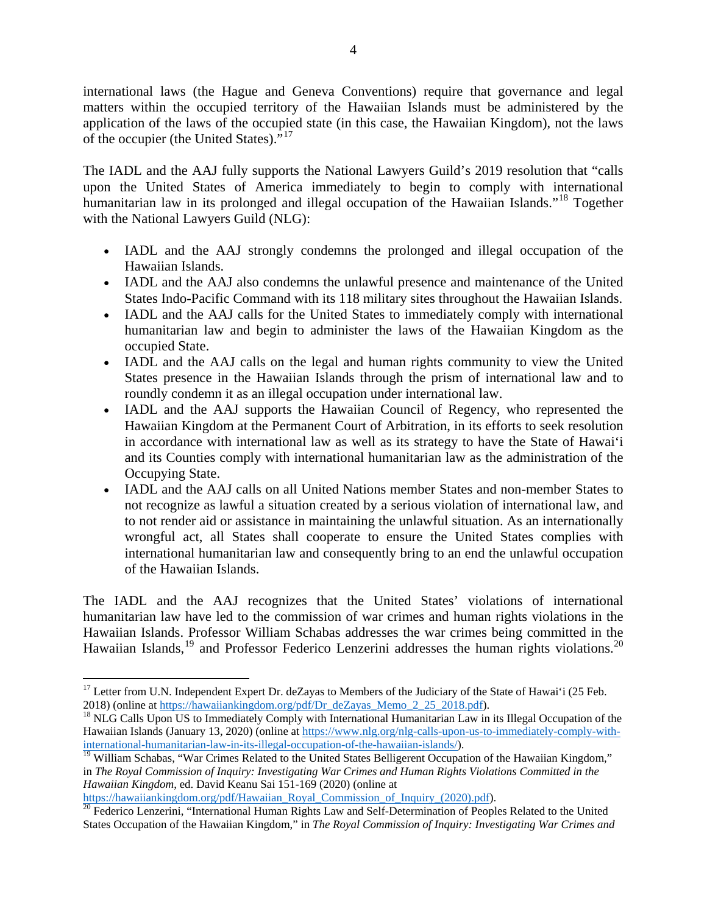international laws (the Hague and Geneva Conventions) require that governance and legal matters within the occupied territory of the Hawaiian Islands must be administered by the application of the laws of the occupied state (in this case, the Hawaiian Kingdom), not the laws of the occupier (the United States)."<sup>[17](#page-3-0)</sup>

The IADL and the AAJ fully supports the National Lawyers Guild's 2019 resolution that "calls upon the United States of America immediately to begin to comply with international humanitarian law in its prolonged and illegal occupation of the Hawaiian Islands."<sup>[18](#page-3-1)</sup> Together with the National Lawyers Guild (NLG):

- IADL and the AAJ strongly condemns the prolonged and illegal occupation of the Hawaiian Islands.
- IADL and the AAJ also condemns the unlawful presence and maintenance of the United States Indo-Pacific Command with its 118 military sites throughout the Hawaiian Islands.
- IADL and the AAJ calls for the United States to immediately comply with international humanitarian law and begin to administer the laws of the Hawaiian Kingdom as the occupied State.
- IADL and the AAJ calls on the legal and human rights community to view the United States presence in the Hawaiian Islands through the prism of international law and to roundly condemn it as an illegal occupation under international law.
- IADL and the AAJ supports the Hawaiian Council of Regency, who represented the Hawaiian Kingdom at the Permanent Court of Arbitration, in its efforts to seek resolution in accordance with international law as well as its strategy to have the State of Hawai'i and its Counties comply with international humanitarian law as the administration of the Occupying State.
- IADL and the AAJ calls on all United Nations member States and non-member States to not recognize as lawful a situation created by a serious violation of international law, and to not render aid or assistance in maintaining the unlawful situation. As an internationally wrongful act, all States shall cooperate to ensure the United States complies with international humanitarian law and consequently bring to an end the unlawful occupation of the Hawaiian Islands.

The IADL and the AAJ recognizes that the United States' violations of international humanitarian law have led to the commission of war crimes and human rights violations in the Hawaiian Islands. Professor William Schabas addresses the war crimes being committed in the Hawaiian Islands,<sup>[19](#page-3-2)</sup> and Professor Federico Lenzerini addresses the human rights violations.<sup>[20](#page-3-3)</sup>

<span id="page-3-0"></span><sup>&</sup>lt;sup>17</sup> Letter from U.N. Independent Expert Dr. deZayas to Members of the Judiciary of the State of Hawai'i (25 Feb. 2018) (online at [https://hawaiiankingdom.org/pdf/Dr\\_deZayas\\_Memo\\_2\\_25\\_2018.pdf\)](https://hawaiiankingdom.org/pdf/Dr_deZayas_Memo_2_25_2018.pdf).<br><sup>18</sup> NLG Calls Upon US to Immediately Comply with International Humanitarian Law in its Illegal Occupation of the

<span id="page-3-1"></span>Hawaiian Islands (January 13, 2020) (online at [https://www.nlg.org/nlg-calls-upon-us-to-immediately-comply-with](https://www.nlg.org/nlg-calls-upon-us-to-immediately-comply-with-international-humanitarian-law-in-its-illegal-occupation-of-the-hawaiian-islands/)[international-humanitarian-law-in-its-illegal-occupation-of-the-hawaiian-islands/\)](https://www.nlg.org/nlg-calls-upon-us-to-immediately-comply-with-international-humanitarian-law-in-its-illegal-occupation-of-the-hawaiian-islands/).

<span id="page-3-2"></span><sup>&</sup>lt;sup>19</sup> William Schabas, "War Crimes Related to the United States Belligerent Occupation of the Hawaiian Kingdom," in *The Royal Commission of Inquiry: Investigating War Crimes and Human Rights Violations Committed in the Hawaiian Kingdom*, ed. David Keanu Sai 151-169 (2020) (online at https://hawaiiankingdom.org/pdf/Hawaiian Royal Commission of Inquiry (2020).pdf).

<span id="page-3-3"></span>https://hamain.com/mission\_dom.org/pdf/Hamain\_Communication\_dom.org/<br><sup>20</sup> Federico Lenzerini, "International Human Rights Law and Self-Determination of Peoples Related to the United States Occupation of the Hawaiian Kingdom," in *The Royal Commission of Inquiry: Investigating War Crimes and*